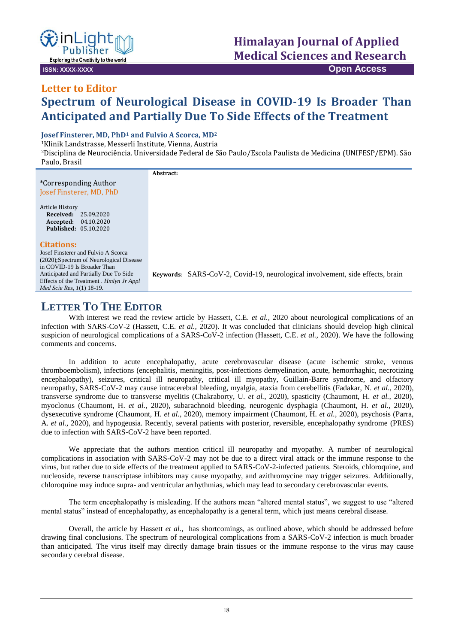

involvement, side effects, brain

# **Letter to Editor**

## **Spectrum of Neurological Disease in COVID-19 Is Broader Than Anticipated and Partially Due To Side Effects of the Treatment**

#### **Josef Finsterer, MD, PhD<sup>1</sup> and Fulvio A Scorca, MD<sup>2</sup>**

<sup>1</sup>Klinik Landstrasse, Messerli Institute, Vienna, Austria

<sup>2</sup>Disciplina de Neurociência. Universidade Federal de São Paulo/Escola Paulista de Medicina (UNIFESP/EPM). São Paulo, Brasil

|                                          | Abstract:                                    |
|------------------------------------------|----------------------------------------------|
| *Corresponding Author                    |                                              |
| Josef Finsterer, MD, PhD                 |                                              |
| Article History                          |                                              |
| <b>Received:</b> 25.09.2020              |                                              |
| Accepted: 04.10.2020                     |                                              |
| <b>Published: 05.10.2020</b>             |                                              |
| <b>Citations:</b>                        |                                              |
| Josef Finsterer and Fulvio A Scorca      |                                              |
| (2020); Spectrum of Neurological Disease |                                              |
| in COVID-19 Is Broader Than              |                                              |
| Anticipated and Partially Due To Side    | Keywords: SARS-CoV-2, Covid-19, neurological |
| Effects of the Treatment . Hmlyn Jr Appl |                                              |

### **LETTER TO THE EDITOR**

*Med Scie Res, 1*(1) 18-19.

With interest we read the review article by Hassett, C.E. *et al.*, 2020 about neurological complications of an infection with SARS-CoV-2 (Hassett, C.E. *et al.,* 2020). It was concluded that clinicians should develop high clinical suspicion of neurological complications of a SARS-CoV-2 infection (Hassett, C.E. *et al.,* 2020). We have the following comments and concerns.

In addition to acute encephalopathy, acute cerebrovascular disease (acute ischemic stroke, venous thromboembolism), infections (encephalitis, meningitis, post-infections demyelination, acute, hemorrhaghic, necrotizing encephalopathy), seizures, critical ill neuropathy, critical ill myopathy, Guillain-Barre syndrome, and olfactory neuropathy, SARS-CoV-2 may cause intracerebral bleeding, myalgia, ataxia from cerebellitis (Fadakar, N. *et al.,* 2020), transverse syndrome due to transverse myelitis (Chakraborty, U. *et al.,* 2020), spasticity (Chaumont, H. *et al.,* 2020), myoclonus (Chaumont, H. *et al.,* 2020), subarachnoid bleeding, neurogenic dysphagia (Chaumont, H. *et al.,* 2020), dysexecutive syndrome (Chaumont, H. *et al.,* 2020), memory impairment (Chaumont, H. *et al.,* 2020), psychosis (Parra, A. *et al.,* 2020), and hypogeusia. Recently, several patients with posterior, reversible, encephalopathy syndrome (PRES) due to infection with SARS-CoV-2 have been reported.

We appreciate that the authors mention critical ill neuropathy and myopathy. A number of neurological complications in association with SARS-CoV-2 may not be due to a direct viral attack or the immune response to the virus, but rather due to side effects of the treatment applied to SARS-CoV-2-infected patients. Steroids, chloroquine, and nucleoside, reverse transcriptase inhibitors may cause myopathy, and azithromycine may trigger seizures. Additionally, chloroquine may induce supra- and ventricular arrhythmias, which may lead to secondary cerebrovascular events.

The term encephalopathy is misleading. If the authors mean "altered mental status", we suggest to use "altered mental status" instead of encephalopathy, as encephalopathy is a general term, which just means cerebral disease.

Overall, the article by Hassett *et al.,* has shortcomings, as outlined above, which should be addressed before drawing final conclusions. The spectrum of neurological complications from a SARS-CoV-2 infection is much broader than anticipated. The virus itself may directly damage brain tissues or the immune response to the virus may cause secondary cerebral disease.